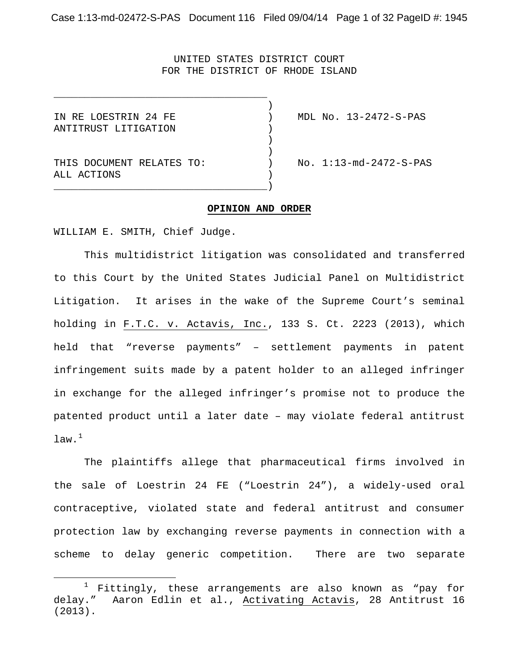Case 1:13-md-02472-S-PAS Document 116 Filed 09/04/14 Page 1 of 32 PageID #: 1945

UNITED STATES DISTRICT COURT FOR THE DISTRICT OF RHODE ISLAND

)<br>)

)

)<br>)

ANTITRUST LITIGATION )

<u>.</u>

THIS DOCUMENT RELATES TO:  $NO. 1:13-md-2472-S-PAS$ ALL ACTIONS )

IN RE LOESTRIN 24 FE ) MDL No. 13-2472-S-PAS

#### **OPINION AND ORDER**

WILLIAM E. SMITH, Chief Judge.

\_\_\_\_\_\_\_\_\_\_\_\_\_\_\_\_\_\_\_\_\_\_\_\_\_\_\_\_\_\_\_\_\_\_\_

\_\_\_\_\_\_\_\_\_\_\_\_\_\_\_\_\_\_\_\_\_\_\_\_\_\_\_\_\_\_\_\_\_\_\_)

This multidistrict litigation was consolidated and transferred to this Court by the United States Judicial Panel on Multidistrict Litigation. It arises in the wake of the Supreme Court's seminal holding in F.T.C. v. Actavis, Inc., 133 S. Ct. 2223 (2013), which held that "reverse payments" – settlement payments in patent infringement suits made by a patent holder to an alleged infringer in exchange for the alleged infringer's promise not to produce the patented product until a later date – may violate federal antitrust  $_{\tt law.^1}$ 

The plaintiffs allege that pharmaceutical firms involved in the sale of Loestrin 24 FE ("Loestrin 24"), a widely-used oral contraceptive, violated state and federal antitrust and consumer protection law by exchanging reverse payments in connection with a scheme to delay generic competition. There are two separate

 $1$  Fittingly, these arrangements are also known as "pay for delay." Aaron Edlin et al., Activating Actavis, 28 Antitrust 16 (2013).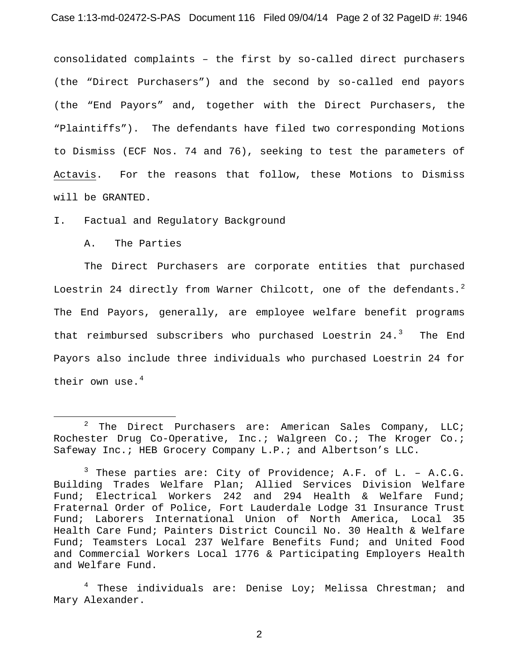consolidated complaints – the first by so-called direct purchasers (the "Direct Purchasers") and the second by so-called end payors (the "End Payors" and, together with the Direct Purchasers, the "Plaintiffs"). The defendants have filed two corresponding Motions to Dismiss (ECF Nos. 74 and 76), seeking to test the parameters of Actavis. For the reasons that follow, these Motions to Dismiss will be GRANTED.

I. Factual and Regulatory Background

A. The Parties

-

The Direct Purchasers are corporate entities that purchased Loestrin 24 directly from Warner Chilcott, one of the defendants. $^2$ The End Payors, generally, are employee welfare benefit programs that reimbursed subscribers who purchased Loestrin  $24.^3$  The End Payors also include three individuals who purchased Loestrin 24 for their own use. $4$ 

 $2$  The Direct Purchasers are: American Sales Company, LLC; Rochester Drug Co-Operative, Inc.; Walgreen Co.; The Kroger Co.; Safeway Inc.; HEB Grocery Company L.P.; and Albertson's LLC.

 $3$  These parties are: City of Providence; A.F. of L. - A.C.G. Building Trades Welfare Plan; Allied Services Division Welfare Fund; Electrical Workers 242 and 294 Health & Welfare Fund; Fraternal Order of Police, Fort Lauderdale Lodge 31 Insurance Trust Fund; Laborers International Union of North America, Local 35 Health Care Fund; Painters District Council No. 30 Health & Welfare Fund; Teamsters Local 237 Welfare Benefits Fund; and United Food and Commercial Workers Local 1776 & Participating Employers Health and Welfare Fund.

 $4$  These individuals are: Denise Loy; Melissa Chrestman; and Mary Alexander.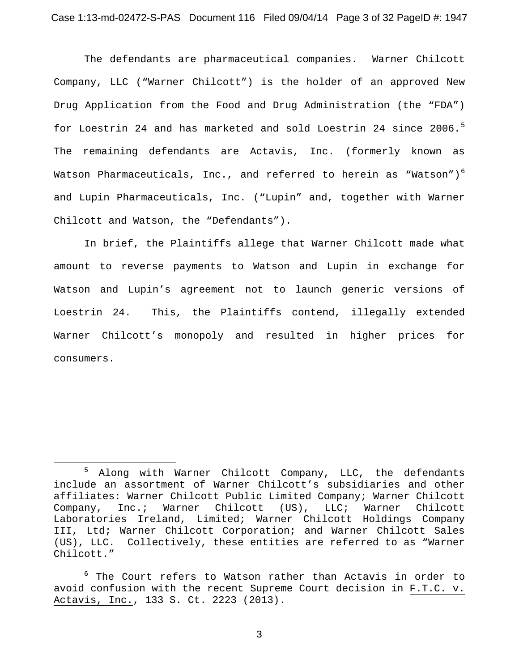The defendants are pharmaceutical companies. Warner Chilcott Company, LLC ("Warner Chilcott") is the holder of an approved New Drug Application from the Food and Drug Administration (the "FDA") for Loestrin 24 and has marketed and sold Loestrin 24 since 2006.<sup>5</sup> The remaining defendants are Actavis, Inc. (formerly known as Watson Pharmaceuticals, Inc., and referred to herein as "Watson") $^6$ and Lupin Pharmaceuticals, Inc. ("Lupin" and, together with Warner Chilcott and Watson, the "Defendants").

In brief, the Plaintiffs allege that Warner Chilcott made what amount to reverse payments to Watson and Lupin in exchange for Watson and Lupin's agreement not to launch generic versions of Loestrin 24. This, the Plaintiffs contend, illegally extended Warner Chilcott's monopoly and resulted in higher prices for consumers.

-

<sup>5</sup> Along with Warner Chilcott Company, LLC, the defendants include an assortment of Warner Chilcott's subsidiaries and other affiliates: Warner Chilcott Public Limited Company; Warner Chilcott Company, Inc.; Warner Chilcott (US), LLC; Warner Chilcott Laboratories Ireland, Limited; Warner Chilcott Holdings Company III, Ltd; Warner Chilcott Corporation; and Warner Chilcott Sales (US), LLC. Collectively, these entities are referred to as "Warner Chilcott."

<sup>&</sup>lt;sup>6</sup> The Court refers to Watson rather than Actavis in order to avoid confusion with the recent Supreme Court decision in F.T.C. v. Actavis, Inc., 133 S. Ct. 2223 (2013).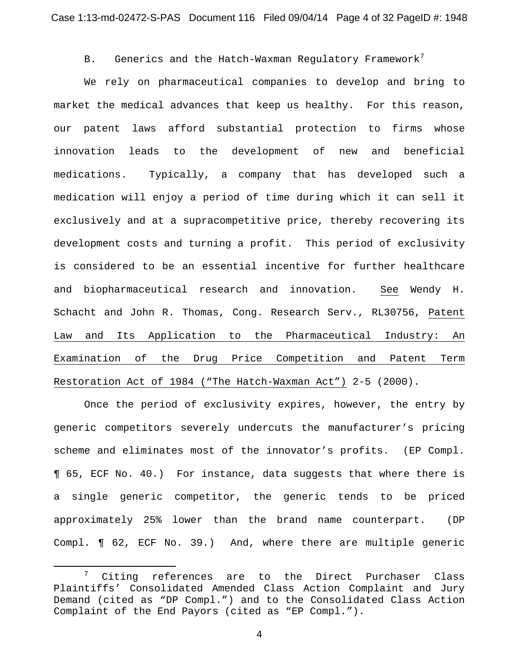# B. Generics and the Hatch-Waxman Regulatory Framework<sup>7</sup>

We rely on pharmaceutical companies to develop and bring to market the medical advances that keep us healthy. For this reason, our patent laws afford substantial protection to firms whose innovation leads to the development of new and beneficial medications. Typically, a company that has developed such a medication will enjoy a period of time during which it can sell it exclusively and at a supracompetitive price, thereby recovering its development costs and turning a profit. This period of exclusivity is considered to be an essential incentive for further healthcare and biopharmaceutical research and innovation. See Wendy H. Schacht and John R. Thomas, Cong. Research Serv., RL30756, Patent Law and Its Application to the Pharmaceutical Industry: An Examination of the Drug Price Competition and Patent Term Restoration Act of 1984 ("The Hatch-Waxman Act") 2-5 (2000).

Once the period of exclusivity expires, however, the entry by generic competitors severely undercuts the manufacturer's pricing scheme and eliminates most of the innovator's profits. (EP Compl. ¶ 65, ECF No. 40.) For instance, data suggests that where there is a single generic competitor, the generic tends to be priced approximately 25% lower than the brand name counterpart. (DP Compl. ¶ 62, ECF No. 39.) And, where there are multiple generic

<u>.</u>

<sup>&</sup>lt;sup>7</sup> Citing references are to the Direct Purchaser Class Plaintiffs' Consolidated Amended Class Action Complaint and Jury Demand (cited as "DP Compl.") and to the Consolidated Class Action Complaint of the End Payors (cited as "EP Compl.").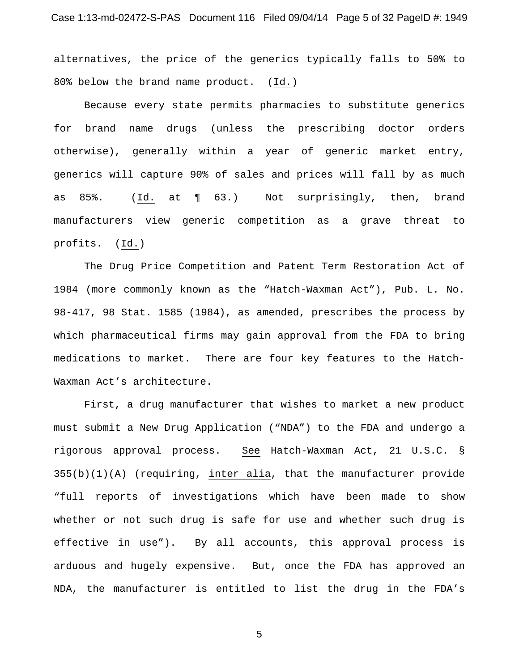alternatives, the price of the generics typically falls to 50% to 80% below the brand name product. (Id.)

Because every state permits pharmacies to substitute generics for brand name drugs (unless the prescribing doctor orders otherwise), generally within a year of generic market entry, generics will capture 90% of sales and prices will fall by as much as 85%. (Id. at ¶ 63.) Not surprisingly, then, brand manufacturers view generic competition as a grave threat to profits. (Id.)

The Drug Price Competition and Patent Term Restoration Act of 1984 (more commonly known as the "Hatch-Waxman Act"), Pub. L. No. 98-417, 98 Stat. 1585 (1984), as amended, prescribes the process by which pharmaceutical firms may gain approval from the FDA to bring medications to market. There are four key features to the Hatch-Waxman Act's architecture.

First, a drug manufacturer that wishes to market a new product must submit a New Drug Application ("NDA") to the FDA and undergo a rigorous approval process. See Hatch-Waxman Act, 21 U.S.C. § 355(b)(1)(A) (requiring, inter alia, that the manufacturer provide "full reports of investigations which have been made to show whether or not such drug is safe for use and whether such drug is effective in use"). By all accounts, this approval process is arduous and hugely expensive. But, once the FDA has approved an NDA, the manufacturer is entitled to list the drug in the FDA's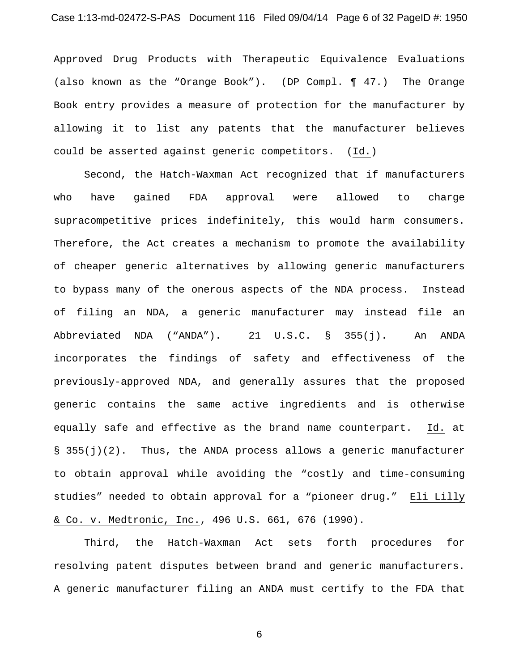## Case 1:13-md-02472-S-PAS Document 116 Filed 09/04/14 Page 6 of 32 PageID #: 1950

Approved Drug Products with Therapeutic Equivalence Evaluations (also known as the "Orange Book"). (DP Compl. ¶ 47.) The Orange Book entry provides a measure of protection for the manufacturer by allowing it to list any patents that the manufacturer believes could be asserted against generic competitors. (Id.)

Second, the Hatch-Waxman Act recognized that if manufacturers who have gained FDA approval were allowed to charge supracompetitive prices indefinitely, this would harm consumers. Therefore, the Act creates a mechanism to promote the availability of cheaper generic alternatives by allowing generic manufacturers to bypass many of the onerous aspects of the NDA process. Instead of filing an NDA, a generic manufacturer may instead file an Abbreviated NDA ("ANDA"). 21 U.S.C. § 355(j). An ANDA incorporates the findings of safety and effectiveness of the previously-approved NDA, and generally assures that the proposed generic contains the same active ingredients and is otherwise equally safe and effective as the brand name counterpart. Id. at §  $355(j)(2)$ . Thus, the ANDA process allows a generic manufacturer to obtain approval while avoiding the "costly and time-consuming studies" needed to obtain approval for a "pioneer drug." Eli Lilly & Co. v. Medtronic, Inc., 496 U.S. 661, 676 (1990).

Third, the Hatch-Waxman Act sets forth procedures for resolving patent disputes between brand and generic manufacturers. A generic manufacturer filing an ANDA must certify to the FDA that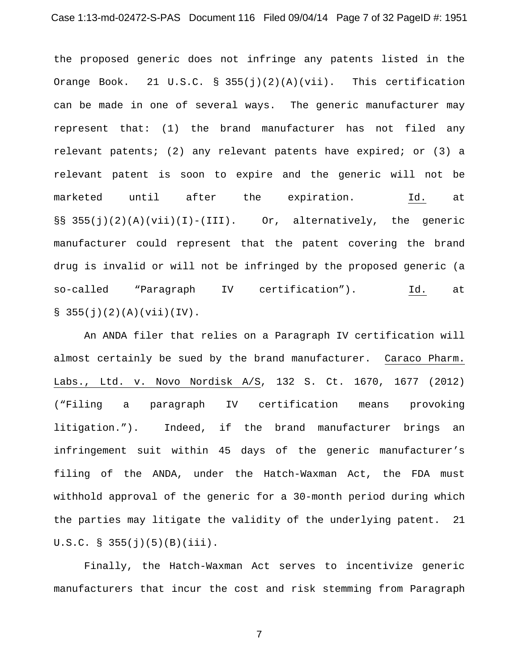the proposed generic does not infringe any patents listed in the Orange Book. 21 U.S.C. § 355(j)(2)(A)(vii). This certification can be made in one of several ways. The generic manufacturer may represent that: (1) the brand manufacturer has not filed any relevant patents; (2) any relevant patents have expired; or (3) a relevant patent is soon to expire and the generic will not be marketed until after the expiration. Id. at §§ 355(j)(2)(A)(vii)(I)-(III). Or, alternatively, the generic manufacturer could represent that the patent covering the brand drug is invalid or will not be infringed by the proposed generic (a so-called "Paragraph IV certification"). Id. at  $\S$  355(j)(2)(A)(vii)(IV).

An ANDA filer that relies on a Paragraph IV certification will almost certainly be sued by the brand manufacturer. Caraco Pharm. Labs., Ltd. v. Novo Nordisk A/S, 132 S. Ct. 1670, 1677 (2012) ("Filing a paragraph IV certification means provoking litigation."). Indeed, if the brand manufacturer brings an infringement suit within 45 days of the generic manufacturer's filing of the ANDA, under the Hatch-Waxman Act, the FDA must withhold approval of the generic for a 30-month period during which the parties may litigate the validity of the underlying patent. 21  $U.S.C. S 355(j)(5)(B)(iii).$ 

Finally, the Hatch-Waxman Act serves to incentivize generic manufacturers that incur the cost and risk stemming from Paragraph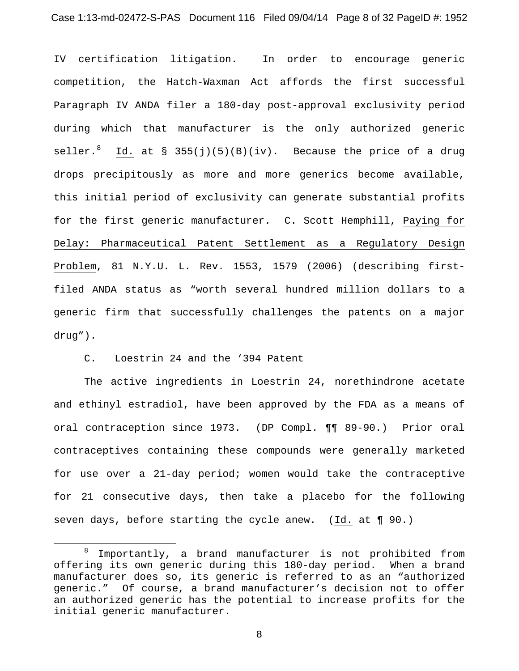IV certification litigation. In order to encourage generic competition, the Hatch-Waxman Act affords the first successful Paragraph IV ANDA filer a 180-day post-approval exclusivity period during which that manufacturer is the only authorized generic seller.<sup>8</sup> Id. at § 355(j)(5)(B)(iv). Because the price of a drug drops precipitously as more and more generics become available, this initial period of exclusivity can generate substantial profits for the first generic manufacturer. C. Scott Hemphill, Paying for Delay: Pharmaceutical Patent Settlement as a Regulatory Design Problem, 81 N.Y.U. L. Rev. 1553, 1579 (2006) (describing firstfiled ANDA status as "worth several hundred million dollars to a generic firm that successfully challenges the patents on a major drug").

C. Loestrin 24 and the '394 Patent

<u>.</u>

The active ingredients in Loestrin 24, norethindrone acetate and ethinyl estradiol, have been approved by the FDA as a means of oral contraception since 1973. (DP Compl. ¶¶ 89-90.) Prior oral contraceptives containing these compounds were generally marketed for use over a 21-day period; women would take the contraceptive for 21 consecutive days, then take a placebo for the following seven days, before starting the cycle anew. (Id. at ¶ 90.)

 $8$  Importantly, a brand manufacturer is not prohibited from offering its own generic during this 180-day period. When a brand manufacturer does so, its generic is referred to as an "authorized generic." Of course, a brand manufacturer's decision not to offer an authorized generic has the potential to increase profits for the initial generic manufacturer.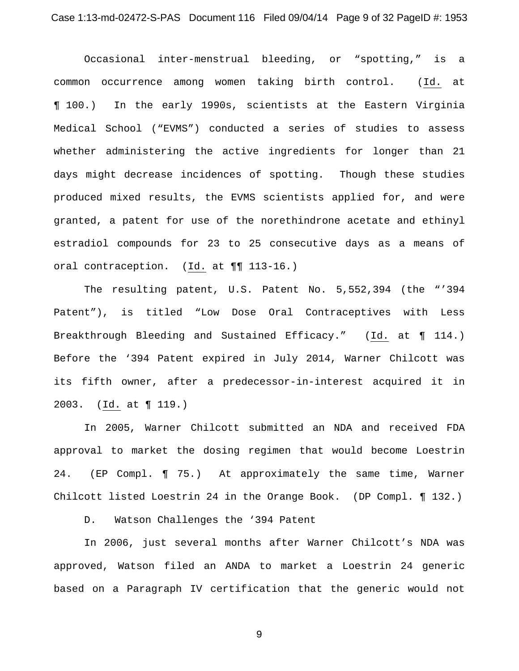Occasional inter-menstrual bleeding, or "spotting," is a common occurrence among women taking birth control. (Id. at ¶ 100.) In the early 1990s, scientists at the Eastern Virginia Medical School ("EVMS") conducted a series of studies to assess whether administering the active ingredients for longer than 21 days might decrease incidences of spotting. Though these studies produced mixed results, the EVMS scientists applied for, and were granted, a patent for use of the norethindrone acetate and ethinyl estradiol compounds for 23 to 25 consecutive days as a means of oral contraception. (Id. at ¶¶ 113-16.)

The resulting patent, U.S. Patent No. 5,552,394 (the "'394 Patent"), is titled "Low Dose Oral Contraceptives with Less Breakthrough Bleeding and Sustained Efficacy." (Id. at ¶ 114.) Before the '394 Patent expired in July 2014, Warner Chilcott was its fifth owner, after a predecessor-in-interest acquired it in 2003. (Id. at ¶ 119.)

In 2005, Warner Chilcott submitted an NDA and received FDA approval to market the dosing regimen that would become Loestrin 24. (EP Compl. ¶ 75.) At approximately the same time, Warner Chilcott listed Loestrin 24 in the Orange Book. (DP Compl. ¶ 132.)

D. Watson Challenges the '394 Patent

In 2006, just several months after Warner Chilcott's NDA was approved, Watson filed an ANDA to market a Loestrin 24 generic based on a Paragraph IV certification that the generic would not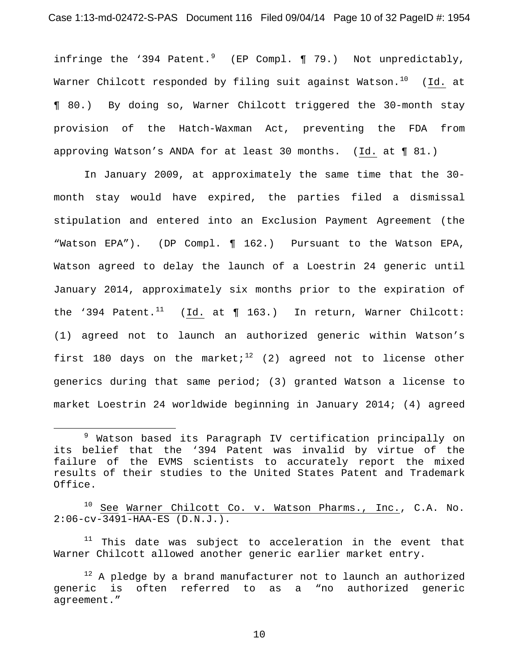#### Case 1:13-md-02472-S-PAS Document 116 Filed 09/04/14 Page 10 of 32 PageID #: 1954

infringe the '394 Patent.<sup>9</sup> (EP Compl. ¶ 79.) Not unpredictably, Warner Chilcott responded by filing suit against Watson.<sup>10</sup> (Id. at ¶ 80.) By doing so, Warner Chilcott triggered the 30-month stay provision of the Hatch-Waxman Act, preventing the FDA from approving Watson's ANDA for at least 30 months. (Id. at ¶ 81.)

In January 2009, at approximately the same time that the 30 month stay would have expired, the parties filed a dismissal stipulation and entered into an Exclusion Payment Agreement (the "Watson EPA"). (DP Compl. ¶ 162.) Pursuant to the Watson EPA, Watson agreed to delay the launch of a Loestrin 24 generic until January 2014, approximately six months prior to the expiration of the '394 Patent.<sup>11</sup> (Id. at  $\P$  163.) In return, Warner Chilcott: (1) agreed not to launch an authorized generic within Watson's first 180 days on the market;<sup>12</sup> (2) agreed not to license other generics during that same period; (3) granted Watson a license to market Loestrin 24 worldwide beginning in January 2014; (4) agreed

<u>.</u>

 $10$  See Warner Chilcott Co. v. Watson Pharms., Inc., C.A. No. 2:06-cv-3491-HAA-ES (D.N.J.).

 $11$  This date was subject to acceleration in the event that Warner Chilcott allowed another generic earlier market entry.

 $12$  A pledge by a brand manufacturer not to launch an authorized generic is often referred to as a "no authorized generic agreement."

<sup>9</sup> Watson based its Paragraph IV certification principally on its belief that the '394 Patent was invalid by virtue of the failure of the EVMS scientists to accurately report the mixed results of their studies to the United States Patent and Trademark Office.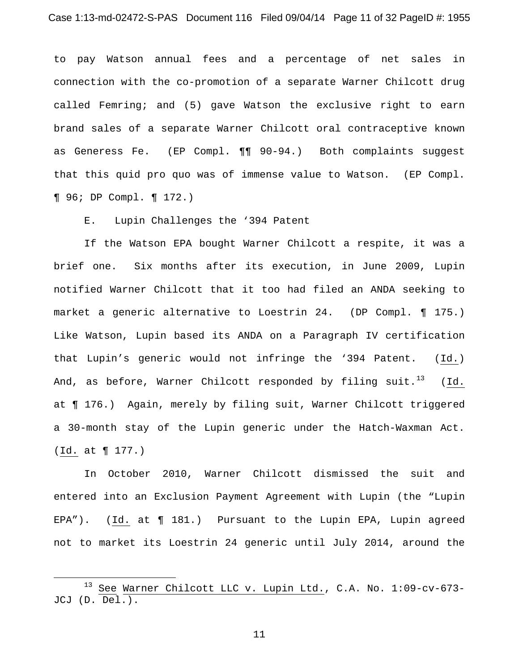to pay Watson annual fees and a percentage of net sales in connection with the co-promotion of a separate Warner Chilcott drug called Femring; and (5) gave Watson the exclusive right to earn brand sales of a separate Warner Chilcott oral contraceptive known as Generess Fe. (EP Compl. ¶¶ 90-94.) Both complaints suggest that this quid pro quo was of immense value to Watson. (EP Compl. ¶ 96; DP Compl. ¶ 172.)

E. Lupin Challenges the '394 Patent

If the Watson EPA bought Warner Chilcott a respite, it was a brief one. Six months after its execution, in June 2009, Lupin notified Warner Chilcott that it too had filed an ANDA seeking to market a generic alternative to Loestrin 24. (DP Compl. ¶ 175.) Like Watson, Lupin based its ANDA on a Paragraph IV certification that Lupin's generic would not infringe the '394 Patent. (Id.) And, as before, Warner Chilcott responded by filing suit.<sup>13</sup> (Id. at ¶ 176.) Again, merely by filing suit, Warner Chilcott triggered a 30-month stay of the Lupin generic under the Hatch-Waxman Act. (Id. at ¶ 177.)

In October 2010, Warner Chilcott dismissed the suit and entered into an Exclusion Payment Agreement with Lupin (the "Lupin EPA"). (Id. at ¶ 181.) Pursuant to the Lupin EPA, Lupin agreed not to market its Loestrin 24 generic until July 2014, around the

<u>.</u>

See Warner Chilcott LLC v. Lupin Ltd., C.A. No. 1:09-cv-673-JCJ (D. Del.).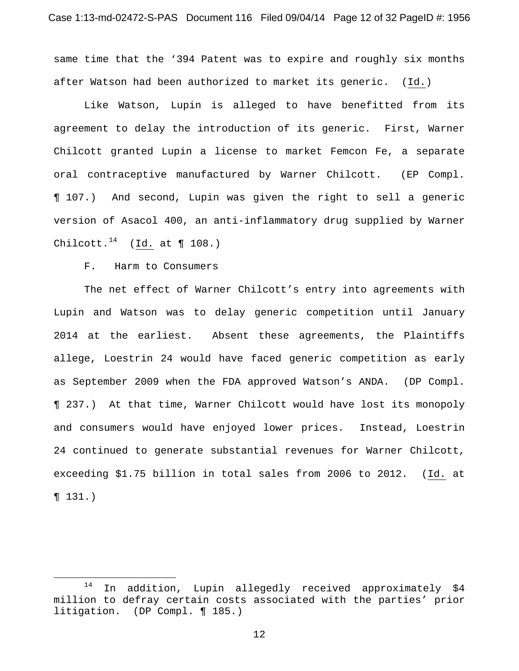same time that the '394 Patent was to expire and roughly six months after Watson had been authorized to market its generic. (Id.)

Like Watson, Lupin is alleged to have benefitted from its agreement to delay the introduction of its generic. First, Warner Chilcott granted Lupin a license to market Femcon Fe, a separate oral contraceptive manufactured by Warner Chilcott. (EP Compl. ¶ 107.) And second, Lupin was given the right to sell a generic version of Asacol 400, an anti-inflammatory drug supplied by Warner Chilcott.<sup>14</sup> (Id. at  $\P$  108.)

F. Harm to Consumers

<u>.</u>

The net effect of Warner Chilcott's entry into agreements with Lupin and Watson was to delay generic competition until January 2014 at the earliest. Absent these agreements, the Plaintiffs allege, Loestrin 24 would have faced generic competition as early as September 2009 when the FDA approved Watson's ANDA. (DP Compl. ¶ 237.) At that time, Warner Chilcott would have lost its monopoly and consumers would have enjoyed lower prices. Instead, Loestrin 24 continued to generate substantial revenues for Warner Chilcott, exceeding \$1.75 billion in total sales from 2006 to 2012. (Id. at ¶ 131.)

 $14$  In addition, Lupin allegedly received approximately \$4 million to defray certain costs associated with the parties' prior litigation. (DP Compl. ¶ 185.)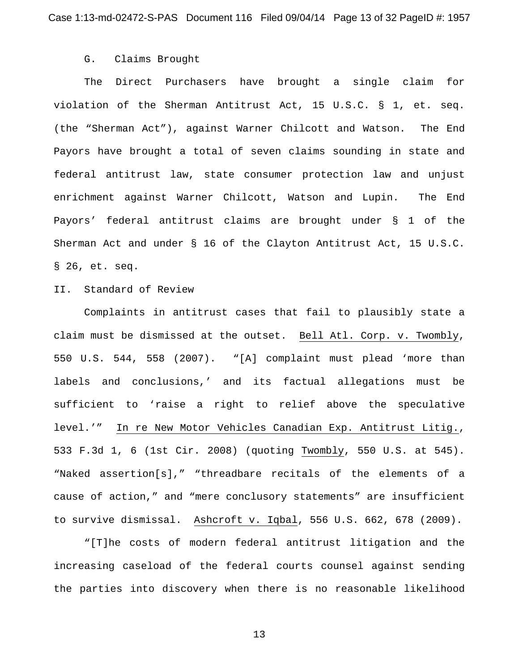### G. Claims Brought

The Direct Purchasers have brought a single claim for violation of the Sherman Antitrust Act, 15 U.S.C. § 1, et. seq. (the "Sherman Act"), against Warner Chilcott and Watson. The End Payors have brought a total of seven claims sounding in state and federal antitrust law, state consumer protection law and unjust enrichment against Warner Chilcott, Watson and Lupin. The End Payors' federal antitrust claims are brought under § 1 of the Sherman Act and under § 16 of the Clayton Antitrust Act, 15 U.S.C. § 26, et. seq.

## II. Standard of Review

Complaints in antitrust cases that fail to plausibly state a claim must be dismissed at the outset. Bell Atl. Corp. v. Twombly, 550 U.S. 544, 558 (2007). "[A] complaint must plead 'more than labels and conclusions,' and its factual allegations must be sufficient to 'raise a right to relief above the speculative level.'" In re New Motor Vehicles Canadian Exp. Antitrust Litig., 533 F.3d 1, 6 (1st Cir. 2008) (quoting Twombly, 550 U.S. at 545). "Naked assertion[s]," "threadbare recitals of the elements of a cause of action," and "mere conclusory statements" are insufficient to survive dismissal. Ashcroft v. Iqbal, 556 U.S. 662, 678 (2009).

"[T]he costs of modern federal antitrust litigation and the increasing caseload of the federal courts counsel against sending the parties into discovery when there is no reasonable likelihood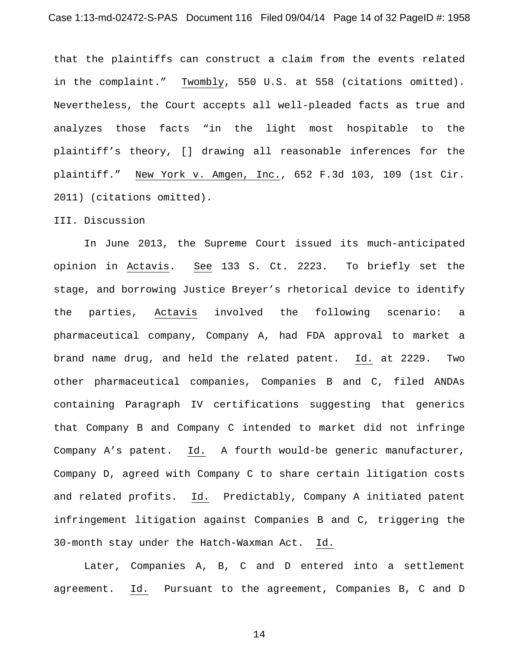that the plaintiffs can construct a claim from the events related in the complaint." Twombly, 550 U.S. at 558 (citations omitted). Nevertheless, the Court accepts all well-pleaded facts as true and analyzes those facts "in the light most hospitable to the plaintiff's theory, [] drawing all reasonable inferences for the plaintiff." New York v. Amgen, Inc., 652 F.3d 103, 109 (1st Cir. 2011) (citations omitted).

#### III. Discussion

In June 2013, the Supreme Court issued its much-anticipated opinion in Actavis. See 133 S. Ct. 2223. To briefly set the stage, and borrowing Justice Breyer's rhetorical device to identify the parties, Actavis involved the following scenario: a pharmaceutical company, Company A, had FDA approval to market a brand name drug, and held the related patent. Id. at 2229. Two other pharmaceutical companies, Companies B and C, filed ANDAs containing Paragraph IV certifications suggesting that generics that Company B and Company C intended to market did not infringe Company A's patent. Id. A fourth would-be generic manufacturer, Company D, agreed with Company C to share certain litigation costs and related profits. Id. Predictably, Company A initiated patent infringement litigation against Companies B and C, triggering the 30-month stay under the Hatch-Waxman Act. Id.

Later, Companies A, B, C and D entered into a settlement agreement. Id. Pursuant to the agreement, Companies B, C and D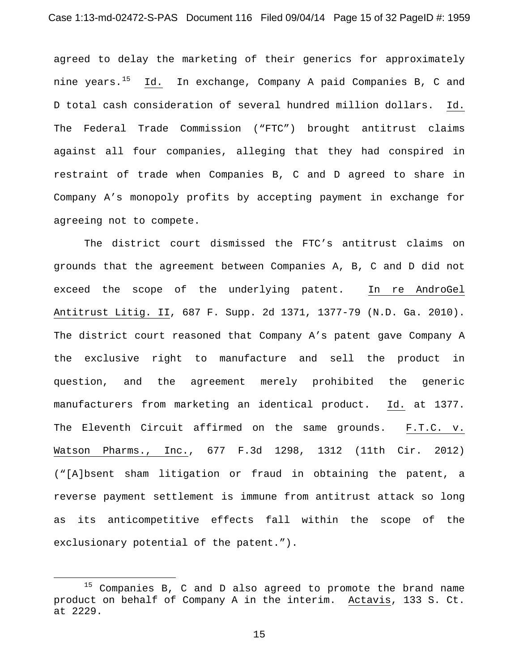agreed to delay the marketing of their generics for approximately nine years.<sup>15</sup> Id. In exchange, Company A paid Companies B, C and D total cash consideration of several hundred million dollars. Id. The Federal Trade Commission ("FTC") brought antitrust claims against all four companies, alleging that they had conspired in restraint of trade when Companies B, C and D agreed to share in Company A's monopoly profits by accepting payment in exchange for agreeing not to compete.

The district court dismissed the FTC's antitrust claims on grounds that the agreement between Companies A, B, C and D did not exceed the scope of the underlying patent. In re AndroGel Antitrust Litig. II, 687 F. Supp. 2d 1371, 1377-79 (N.D. Ga. 2010). The district court reasoned that Company A's patent gave Company A the exclusive right to manufacture and sell the product in question, and the agreement merely prohibited the generic manufacturers from marketing an identical product. Id. at 1377. The Eleventh Circuit affirmed on the same grounds. F.T.C. v. Watson Pharms., Inc., 677 F.3d 1298, 1312 (11th Cir. 2012) ("[A]bsent sham litigation or fraud in obtaining the patent, a reverse payment settlement is immune from antitrust attack so long as its anticompetitive effects fall within the scope of the exclusionary potential of the patent.").

<u>.</u>

 $15$  Companies B, C and D also agreed to promote the brand name product on behalf of Company A in the interim. Actavis, 133 S. Ct. at 2229.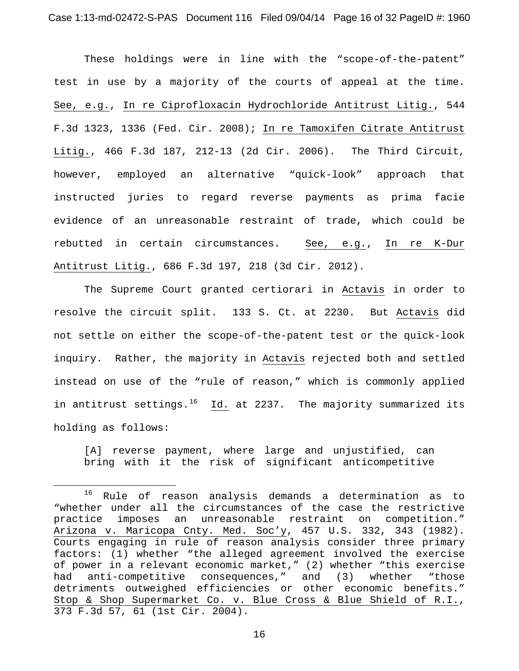These holdings were in line with the "scope-of-the-patent" test in use by a majority of the courts of appeal at the time. See, e.g., In re Ciprofloxacin Hydrochloride Antitrust Litig., 544 F.3d 1323, 1336 (Fed. Cir. 2008); In re Tamoxifen Citrate Antitrust Litig., 466 F.3d 187, 212-13 (2d Cir. 2006). The Third Circuit, however, employed an alternative "quick-look" approach that instructed juries to regard reverse payments as prima facie evidence of an unreasonable restraint of trade, which could be rebutted in certain circumstances. See, e.g., In re K-Dur Antitrust Litig., 686 F.3d 197, 218 (3d Cir. 2012).

The Supreme Court granted certiorari in Actavis in order to resolve the circuit split. 133 S. Ct. at 2230. But Actavis did not settle on either the scope-of-the-patent test or the quick-look inquiry. Rather, the majority in Actavis rejected both and settled instead on use of the "rule of reason," which is commonly applied in antitrust settings. $16$  Id. at 2237. The majority summarized its holding as follows:

[A] reverse payment, where large and unjustified, can bring with it the risk of significant anticompetitive

<u>.</u>

<sup>16</sup> Rule of reason analysis demands a determination as to "whether under all the circumstances of the case the restrictive practice imposes an unreasonable restraint on competition." Arizona v. Maricopa Cnty. Med. Soc'y, 457 U.S. 332, 343 (1982). Courts engaging in rule of reason analysis consider three primary factors: (1) whether "the alleged agreement involved the exercise of power in a relevant economic market," (2) whether "this exercise<br>had anti-competitive consequences," and (3) whether "those anti-competitive consequences," and  $(3)$ detriments outweighed efficiencies or other economic benefits." Stop & Shop Supermarket Co. v. Blue Cross & Blue Shield of R.I., 373 F.3d 57, 61 (1st Cir. 2004).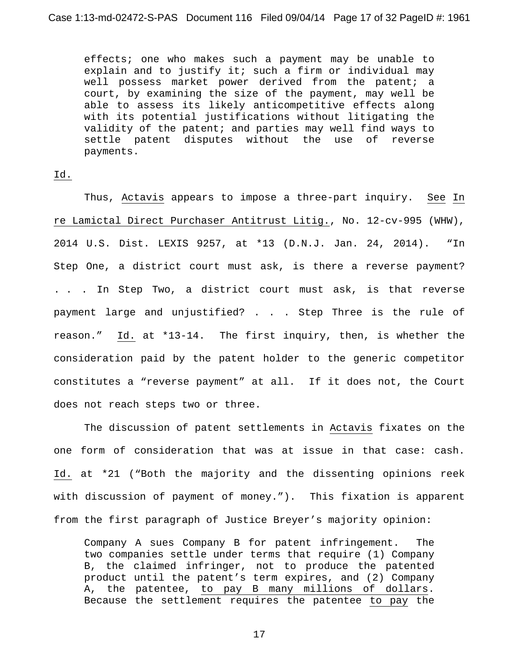effects; one who makes such a payment may be unable to explain and to justify it; such a firm or individual may well possess market power derived from the patent; a court, by examining the size of the payment, may well be able to assess its likely anticompetitive effects along with its potential justifications without litigating the validity of the patent; and parties may well find ways to settle patent disputes without the use of reverse payments.

### Id.

Thus, Actavis appears to impose a three-part inquiry. See In re Lamictal Direct Purchaser Antitrust Litig., No. 12-cv-995 (WHW), 2014 U.S. Dist. LEXIS 9257, at \*13 (D.N.J. Jan. 24, 2014). "In Step One, a district court must ask, is there a reverse payment? . . . In Step Two, a district court must ask, is that reverse payment large and unjustified? . . . Step Three is the rule of reason." Id. at \*13-14. The first inquiry, then, is whether the consideration paid by the patent holder to the generic competitor constitutes a "reverse payment" at all. If it does not, the Court does not reach steps two or three.

The discussion of patent settlements in Actavis fixates on the one form of consideration that was at issue in that case: cash. Id. at \*21 ("Both the majority and the dissenting opinions reek with discussion of payment of money."). This fixation is apparent from the first paragraph of Justice Breyer's majority opinion:

Company A sues Company B for patent infringement. The two companies settle under terms that require (1) Company B, the claimed infringer, not to produce the patented product until the patent's term expires, and (2) Company A, the patentee, to pay B many millions of dollars. Because the settlement requires the patentee to pay the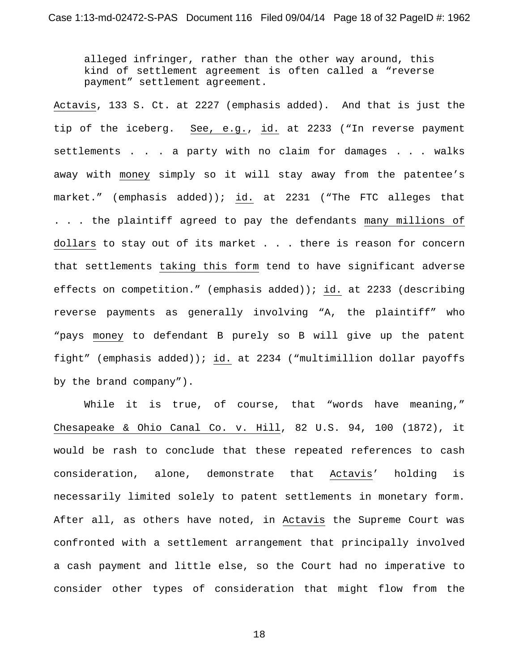alleged infringer, rather than the other way around, this kind of settlement agreement is often called a "reverse payment" settlement agreement.

Actavis, 133 S. Ct. at 2227 (emphasis added). And that is just the tip of the iceberg. See, e.g., id. at 2233 ("In reverse payment settlements . . . a party with no claim for damages . . . walks away with money simply so it will stay away from the patentee's market." (emphasis added)); id. at 2231 ("The FTC alleges that . . . the plaintiff agreed to pay the defendants many millions of dollars to stay out of its market . . . there is reason for concern that settlements taking this form tend to have significant adverse effects on competition." (emphasis added)); id. at 2233 (describing reverse payments as generally involving "A, the plaintiff" who "pays money to defendant B purely so B will give up the patent fight" (emphasis added)); id. at 2234 ("multimillion dollar payoffs by the brand company").

While it is true, of course, that "words have meaning," Chesapeake & Ohio Canal Co. v. Hill, 82 U.S. 94, 100 (1872), it would be rash to conclude that these repeated references to cash consideration, alone, demonstrate that Actavis' holding is necessarily limited solely to patent settlements in monetary form. After all, as others have noted, in Actavis the Supreme Court was confronted with a settlement arrangement that principally involved a cash payment and little else, so the Court had no imperative to consider other types of consideration that might flow from the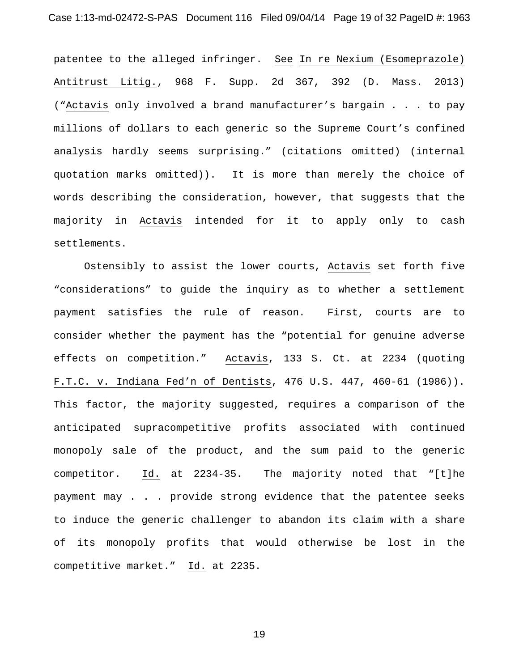patentee to the alleged infringer. See In re Nexium (Esomeprazole) Antitrust Litig., 968 F. Supp. 2d 367, 392 (D. Mass. 2013) ("Actavis only involved a brand manufacturer's bargain . . . to pay millions of dollars to each generic so the Supreme Court's confined analysis hardly seems surprising." (citations omitted) (internal quotation marks omitted)). It is more than merely the choice of words describing the consideration, however, that suggests that the majority in Actavis intended for it to apply only to cash settlements.

Ostensibly to assist the lower courts, Actavis set forth five "considerations" to guide the inquiry as to whether a settlement payment satisfies the rule of reason. First, courts are to consider whether the payment has the "potential for genuine adverse effects on competition." Actavis, 133 S. Ct. at 2234 (quoting F.T.C. v. Indiana Fed'n of Dentists, 476 U.S. 447, 460-61 (1986)). This factor, the majority suggested, requires a comparison of the anticipated supracompetitive profits associated with continued monopoly sale of the product, and the sum paid to the generic competitor. Id. at 2234-35. The majority noted that "[t]he payment may . . . provide strong evidence that the patentee seeks to induce the generic challenger to abandon its claim with a share of its monopoly profits that would otherwise be lost in the competitive market." Id. at 2235.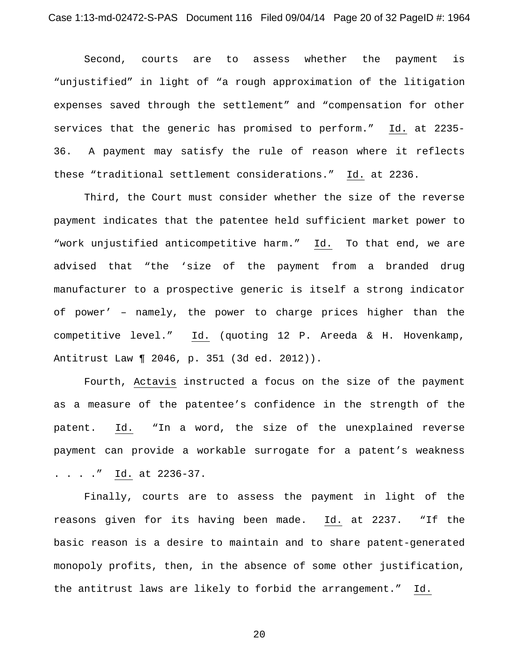Second, courts are to assess whether the payment is "unjustified" in light of "a rough approximation of the litigation expenses saved through the settlement" and "compensation for other services that the generic has promised to perform." Id. at 2235- 36. A payment may satisfy the rule of reason where it reflects these "traditional settlement considerations." Id. at 2236.

Third, the Court must consider whether the size of the reverse payment indicates that the patentee held sufficient market power to "work unjustified anticompetitive harm." Id. To that end, we are advised that "the 'size of the payment from a branded drug manufacturer to a prospective generic is itself a strong indicator of power' – namely, the power to charge prices higher than the competitive level." Id. (quoting 12 P. Areeda & H. Hovenkamp, Antitrust Law ¶ 2046, p. 351 (3d ed. 2012)).

Fourth, Actavis instructed a focus on the size of the payment as a measure of the patentee's confidence in the strength of the patent. Id. "In a word, the size of the unexplained reverse payment can provide a workable surrogate for a patent's weakness . . . ." Id. at 2236-37.

Finally, courts are to assess the payment in light of the reasons given for its having been made. Id. at 2237. "If the basic reason is a desire to maintain and to share patent-generated monopoly profits, then, in the absence of some other justification, the antitrust laws are likely to forbid the arrangement." Id.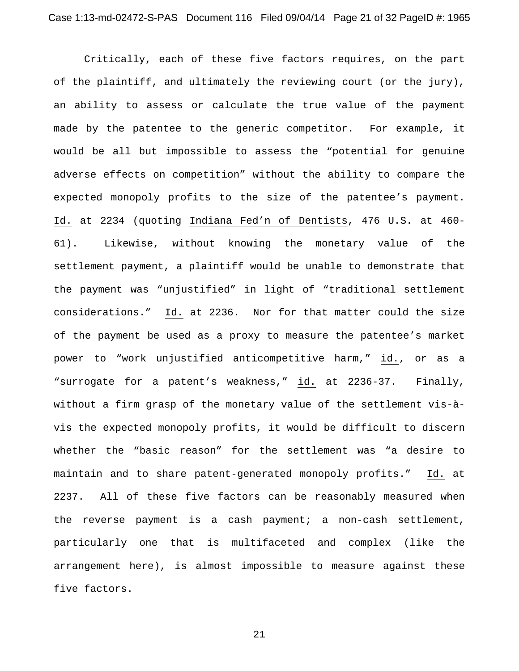Critically, each of these five factors requires, on the part of the plaintiff, and ultimately the reviewing court (or the jury), an ability to assess or calculate the true value of the payment made by the patentee to the generic competitor. For example, it would be all but impossible to assess the "potential for genuine adverse effects on competition" without the ability to compare the expected monopoly profits to the size of the patentee's payment. Id. at 2234 (quoting Indiana Fed'n of Dentists, 476 U.S. at 460- 61). Likewise, without knowing the monetary value of the settlement payment, a plaintiff would be unable to demonstrate that the payment was "unjustified" in light of "traditional settlement considerations." Id. at 2236. Nor for that matter could the size of the payment be used as a proxy to measure the patentee's market power to "work unjustified anticompetitive harm," id., or as a "surrogate for a patent's weakness," id. at 2236-37. Finally, without a firm grasp of the monetary value of the settlement vis-àvis the expected monopoly profits, it would be difficult to discern whether the "basic reason" for the settlement was "a desire to maintain and to share patent-generated monopoly profits." Id. at 2237. All of these five factors can be reasonably measured when the reverse payment is a cash payment; a non-cash settlement, particularly one that is multifaceted and complex (like the arrangement here), is almost impossible to measure against these five factors.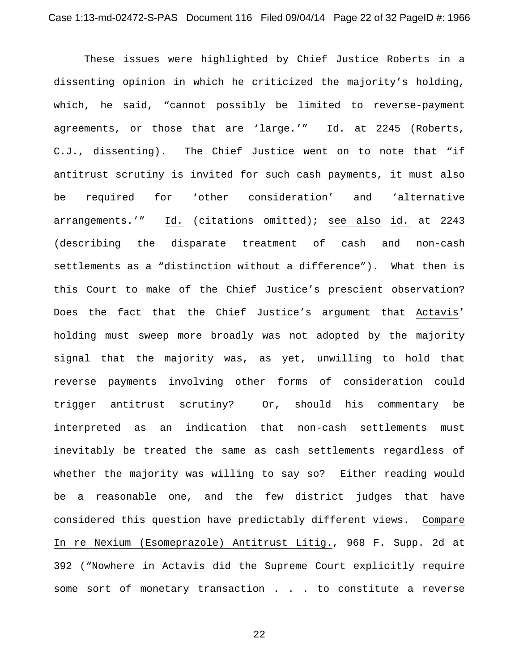These issues were highlighted by Chief Justice Roberts in a dissenting opinion in which he criticized the majority's holding, which, he said, "cannot possibly be limited to reverse-payment agreements, or those that are 'large.'" Id. at 2245 (Roberts, C.J., dissenting). The Chief Justice went on to note that "if antitrust scrutiny is invited for such cash payments, it must also be required for 'other consideration' and 'alternative arrangements.'" Id. (citations omitted); see also id. at 2243 (describing the disparate treatment of cash and non-cash settlements as a "distinction without a difference"). What then is this Court to make of the Chief Justice's prescient observation? Does the fact that the Chief Justice's argument that Actavis' holding must sweep more broadly was not adopted by the majority signal that the majority was, as yet, unwilling to hold that reverse payments involving other forms of consideration could trigger antitrust scrutiny? Or, should his commentary be interpreted as an indication that non-cash settlements must inevitably be treated the same as cash settlements regardless of whether the majority was willing to say so? Either reading would be a reasonable one, and the few district judges that have considered this question have predictably different views. Compare In re Nexium (Esomeprazole) Antitrust Litig., 968 F. Supp. 2d at 392 ("Nowhere in Actavis did the Supreme Court explicitly require some sort of monetary transaction . . . to constitute a reverse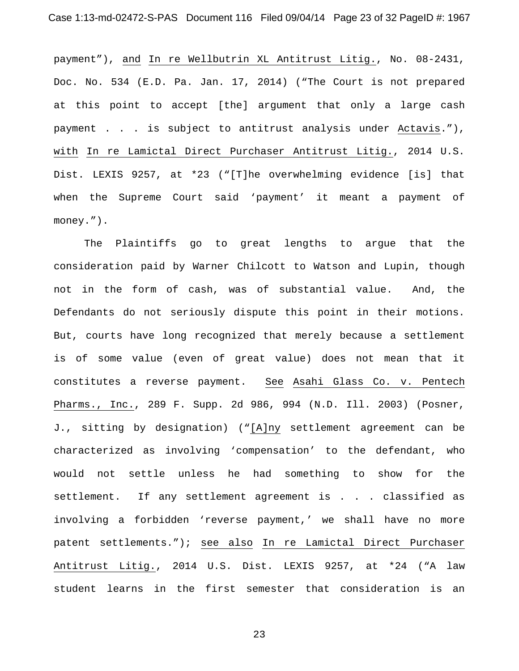payment"), and In re Wellbutrin XL Antitrust Litig., No. 08-2431, Doc. No. 534 (E.D. Pa. Jan. 17, 2014) ("The Court is not prepared at this point to accept [the] argument that only a large cash payment . . . is subject to antitrust analysis under Actavis."), with In re Lamictal Direct Purchaser Antitrust Litig., 2014 U.S. Dist. LEXIS 9257, at \*23 ("[T]he overwhelming evidence [is] that when the Supreme Court said 'payment' it meant a payment of money.").

The Plaintiffs go to great lengths to argue that the consideration paid by Warner Chilcott to Watson and Lupin, though not in the form of cash, was of substantial value. And, the Defendants do not seriously dispute this point in their motions. But, courts have long recognized that merely because a settlement is of some value (even of great value) does not mean that it constitutes a reverse payment. See Asahi Glass Co. v. Pentech Pharms., Inc., 289 F. Supp. 2d 986, 994 (N.D. Ill. 2003) (Posner, J., sitting by designation) ("[A]ny settlement agreement can be characterized as involving 'compensation' to the defendant, who would not settle unless he had something to show for the settlement. If any settlement agreement is . . . classified as involving a forbidden 'reverse payment,' we shall have no more patent settlements."); see also In re Lamictal Direct Purchaser Antitrust Litig., 2014 U.S. Dist. LEXIS 9257, at \*24 ("A law student learns in the first semester that consideration is an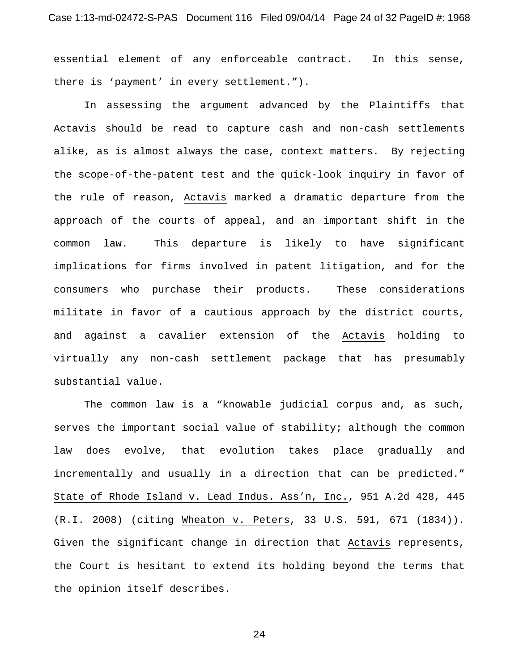essential element of any enforceable contract. In this sense, there is 'payment' in every settlement.").

In assessing the argument advanced by the Plaintiffs that Actavis should be read to capture cash and non-cash settlements alike, as is almost always the case, context matters. By rejecting the scope-of-the-patent test and the quick-look inquiry in favor of the rule of reason, Actavis marked a dramatic departure from the approach of the courts of appeal, and an important shift in the common law. This departure is likely to have significant implications for firms involved in patent litigation, and for the consumers who purchase their products. These considerations militate in favor of a cautious approach by the district courts, and against a cavalier extension of the Actavis holding to virtually any non-cash settlement package that has presumably substantial value.

The common law is a "knowable judicial corpus and, as such, serves the important social value of stability; although the common law does evolve, that evolution takes place gradually and incrementally and usually in a direction that can be predicted." State of Rhode Island v. Lead Indus. Ass'n, Inc., 951 A.2d 428, 445 (R.I. 2008) (citing Wheaton v. Peters, 33 U.S. 591, 671 (1834)). Given the significant change in direction that Actavis represents, the Court is hesitant to extend its holding beyond the terms that the opinion itself describes.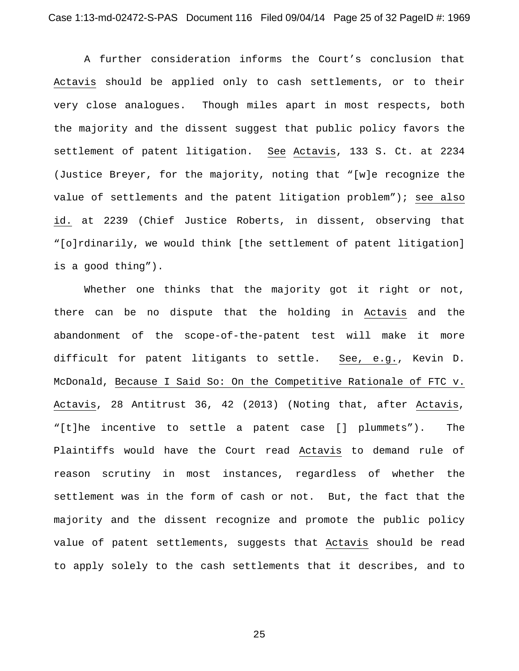A further consideration informs the Court's conclusion that Actavis should be applied only to cash settlements, or to their very close analogues. Though miles apart in most respects, both the majority and the dissent suggest that public policy favors the settlement of patent litigation. See Actavis, 133 S. Ct. at 2234 (Justice Breyer, for the majority, noting that "[w]e recognize the value of settlements and the patent litigation problem"); see also id. at 2239 (Chief Justice Roberts, in dissent, observing that "[o]rdinarily, we would think [the settlement of patent litigation] is a good thing").

Whether one thinks that the majority got it right or not, there can be no dispute that the holding in Actavis and the abandonment of the scope-of-the-patent test will make it more difficult for patent litigants to settle. See, e.g., Kevin D. McDonald, Because I Said So: On the Competitive Rationale of FTC v. Actavis, 28 Antitrust 36, 42 (2013) (Noting that, after Actavis, "[t]he incentive to settle a patent case [] plummets"). The Plaintiffs would have the Court read Actavis to demand rule of reason scrutiny in most instances, regardless of whether the settlement was in the form of cash or not. But, the fact that the majority and the dissent recognize and promote the public policy value of patent settlements, suggests that Actavis should be read to apply solely to the cash settlements that it describes, and to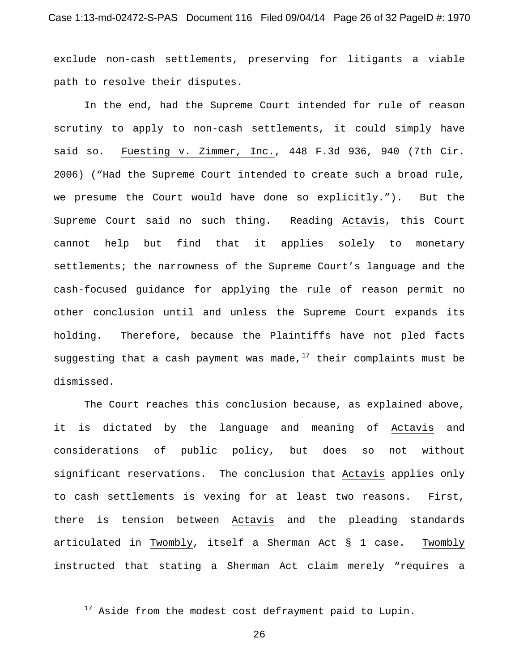exclude non-cash settlements, preserving for litigants a viable path to resolve their disputes.

In the end, had the Supreme Court intended for rule of reason scrutiny to apply to non-cash settlements, it could simply have said so. Fuesting v. Zimmer, Inc., 448 F.3d 936, 940 (7th Cir. 2006) ("Had the Supreme Court intended to create such a broad rule, we presume the Court would have done so explicitly."). But the Supreme Court said no such thing. Reading Actavis, this Court cannot help but find that it applies solely to monetary settlements; the narrowness of the Supreme Court's language and the cash-focused guidance for applying the rule of reason permit no other conclusion until and unless the Supreme Court expands its holding. Therefore, because the Plaintiffs have not pled facts suggesting that a cash payment was made, $17$  their complaints must be dismissed.

The Court reaches this conclusion because, as explained above, it is dictated by the language and meaning of Actavis and considerations of public policy, but does so not without significant reservations. The conclusion that Actavis applies only to cash settlements is vexing for at least two reasons. First, there is tension between Actavis and the pleading standards articulated in Twombly, itself a Sherman Act § 1 case. Twombly instructed that stating a Sherman Act claim merely "requires a

-

<sup>&</sup>lt;sup>17</sup> Aside from the modest cost defrayment paid to Lupin.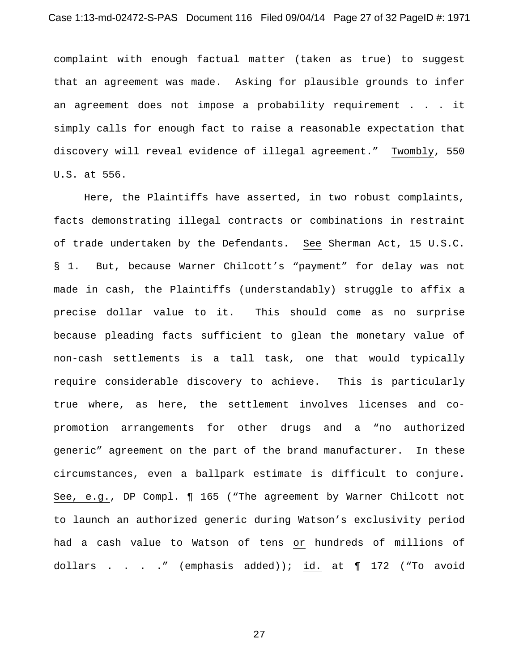complaint with enough factual matter (taken as true) to suggest that an agreement was made. Asking for plausible grounds to infer an agreement does not impose a probability requirement . . . it simply calls for enough fact to raise a reasonable expectation that discovery will reveal evidence of illegal agreement." Twombly, 550 U.S. at 556.

Here, the Plaintiffs have asserted, in two robust complaints, facts demonstrating illegal contracts or combinations in restraint of trade undertaken by the Defendants. See Sherman Act, 15 U.S.C. § 1. But, because Warner Chilcott's "payment" for delay was not made in cash, the Plaintiffs (understandably) struggle to affix a precise dollar value to it. This should come as no surprise because pleading facts sufficient to glean the monetary value of non-cash settlements is a tall task, one that would typically require considerable discovery to achieve. This is particularly true where, as here, the settlement involves licenses and copromotion arrangements for other drugs and a "no authorized generic" agreement on the part of the brand manufacturer. In these circumstances, even a ballpark estimate is difficult to conjure. See, e.g., DP Compl. ¶ 165 ("The agreement by Warner Chilcott not to launch an authorized generic during Watson's exclusivity period had a cash value to Watson of tens or hundreds of millions of dollars . . . ." (emphasis added)); id. at ¶ 172 ("To avoid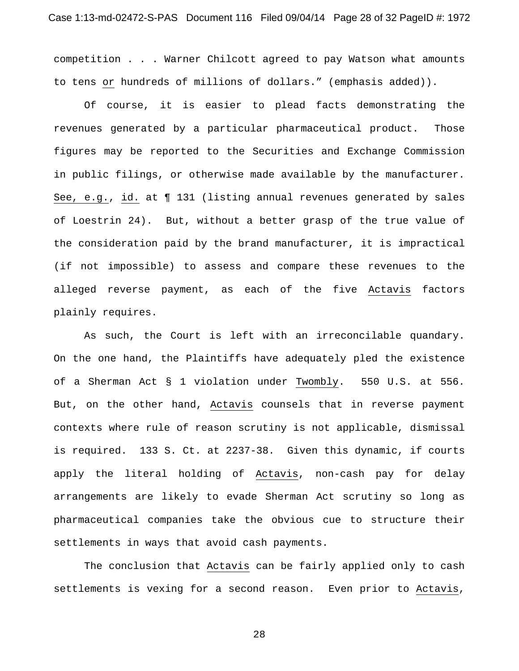competition . . . Warner Chilcott agreed to pay Watson what amounts to tens or hundreds of millions of dollars." (emphasis added)).

Of course, it is easier to plead facts demonstrating the revenues generated by a particular pharmaceutical product. Those figures may be reported to the Securities and Exchange Commission in public filings, or otherwise made available by the manufacturer. See, e.g., id. at ¶ 131 (listing annual revenues generated by sales of Loestrin 24). But, without a better grasp of the true value of the consideration paid by the brand manufacturer, it is impractical (if not impossible) to assess and compare these revenues to the alleged reverse payment, as each of the five Actavis factors plainly requires.

As such, the Court is left with an irreconcilable quandary. On the one hand, the Plaintiffs have adequately pled the existence of a Sherman Act § 1 violation under Twombly. 550 U.S. at 556. But, on the other hand, Actavis counsels that in reverse payment contexts where rule of reason scrutiny is not applicable, dismissal is required. 133 S. Ct. at 2237-38. Given this dynamic, if courts apply the literal holding of Actavis, non-cash pay for delay arrangements are likely to evade Sherman Act scrutiny so long as pharmaceutical companies take the obvious cue to structure their settlements in ways that avoid cash payments.

The conclusion that Actavis can be fairly applied only to cash settlements is vexing for a second reason. Even prior to Actavis,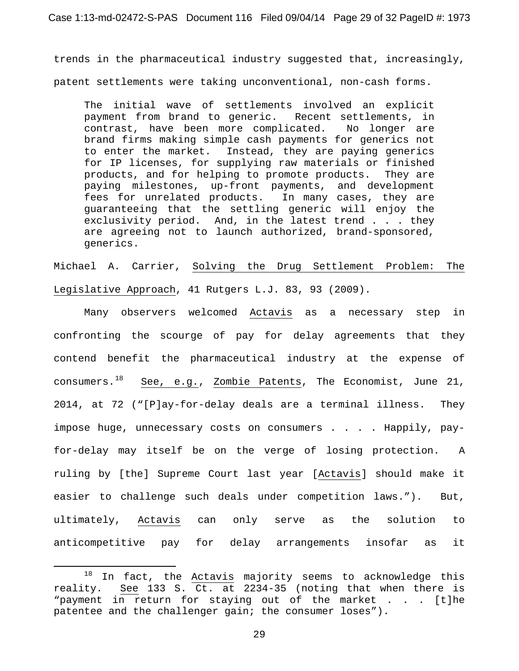trends in the pharmaceutical industry suggested that, increasingly, patent settlements were taking unconventional, non-cash forms.

The initial wave of settlements involved an explicit payment from brand to generic. Recent settlements, in contrast, have been more complicated. No longer are brand firms making simple cash payments for generics not to enter the market. Instead, they are paying generics for IP licenses, for supplying raw materials or finished products, and for helping to promote products. They are paying milestones, up-front payments, and development fees for unrelated products. In many cases, they are guaranteeing that the settling generic will enjoy the exclusivity period. And, in the latest trend . . . they are agreeing not to launch authorized, brand-sponsored, generics.

Michael A. Carrier, Solving the Drug Settlement Problem: The Legislative Approach, 41 Rutgers L.J. 83, 93 (2009).

Many observers welcomed Actavis as a necessary step in confronting the scourge of pay for delay agreements that they contend benefit the pharmaceutical industry at the expense of consumers.<sup>18</sup> See, e.g., Zombie Patents, The Economist, June 21, 2014, at 72 ("[P]ay-for-delay deals are a terminal illness. They impose huge, unnecessary costs on consumers . . . . Happily, payfor-delay may itself be on the verge of losing protection. A ruling by [the] Supreme Court last year [Actavis] should make it easier to challenge such deals under competition laws."). But, ultimately, Actavis can only serve as the solution to anticompetitive pay for delay arrangements insofar as it

<u>.</u>

 $18$  In fact, the Actavis majority seems to acknowledge this reality. See 133 S. Ct. at 2234-35 (noting that when there is "payment in return for staying out of the market . . . [t]he patentee and the challenger gain; the consumer loses").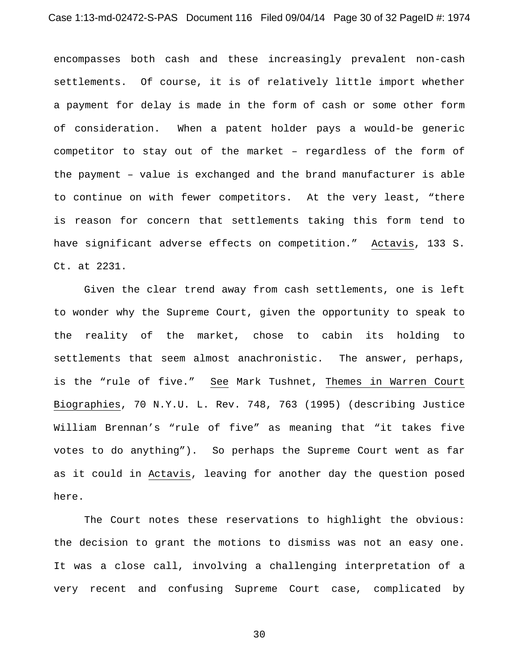encompasses both cash and these increasingly prevalent non-cash settlements. Of course, it is of relatively little import whether a payment for delay is made in the form of cash or some other form of consideration. When a patent holder pays a would-be generic competitor to stay out of the market – regardless of the form of the payment – value is exchanged and the brand manufacturer is able to continue on with fewer competitors. At the very least, "there is reason for concern that settlements taking this form tend to have significant adverse effects on competition." Actavis, 133 S. Ct. at 2231.

Given the clear trend away from cash settlements, one is left to wonder why the Supreme Court, given the opportunity to speak to the reality of the market, chose to cabin its holding to settlements that seem almost anachronistic. The answer, perhaps, is the "rule of five." See Mark Tushnet, Themes in Warren Court Biographies, 70 N.Y.U. L. Rev. 748, 763 (1995) (describing Justice William Brennan's "rule of five" as meaning that "it takes five votes to do anything"). So perhaps the Supreme Court went as far as it could in Actavis, leaving for another day the question posed here.

The Court notes these reservations to highlight the obvious: the decision to grant the motions to dismiss was not an easy one. It was a close call, involving a challenging interpretation of a very recent and confusing Supreme Court case, complicated by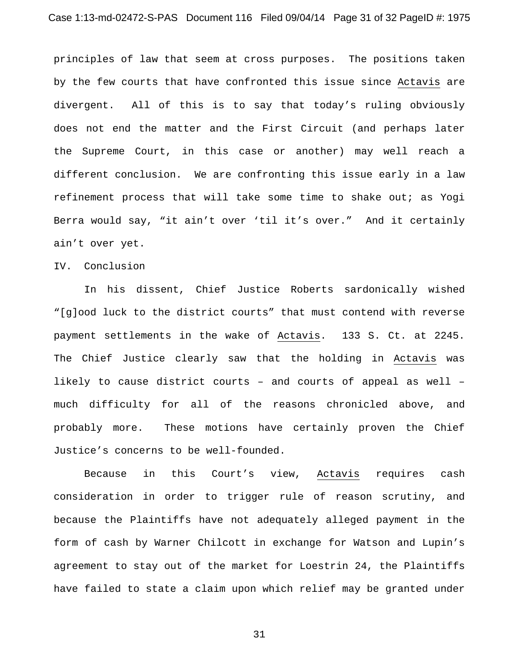principles of law that seem at cross purposes. The positions taken by the few courts that have confronted this issue since Actavis are divergent. All of this is to say that today's ruling obviously does not end the matter and the First Circuit (and perhaps later the Supreme Court, in this case or another) may well reach a different conclusion. We are confronting this issue early in a law refinement process that will take some time to shake out; as Yogi Berra would say, "it ain't over 'til it's over." And it certainly ain't over yet.

## IV. Conclusion

In his dissent, Chief Justice Roberts sardonically wished "[g]ood luck to the district courts" that must contend with reverse payment settlements in the wake of Actavis. 133 S. Ct. at 2245. The Chief Justice clearly saw that the holding in Actavis was likely to cause district courts – and courts of appeal as well – much difficulty for all of the reasons chronicled above, and probably more. These motions have certainly proven the Chief Justice's concerns to be well-founded.

Because in this Court's view, Actavis requires cash consideration in order to trigger rule of reason scrutiny, and because the Plaintiffs have not adequately alleged payment in the form of cash by Warner Chilcott in exchange for Watson and Lupin's agreement to stay out of the market for Loestrin 24, the Plaintiffs have failed to state a claim upon which relief may be granted under